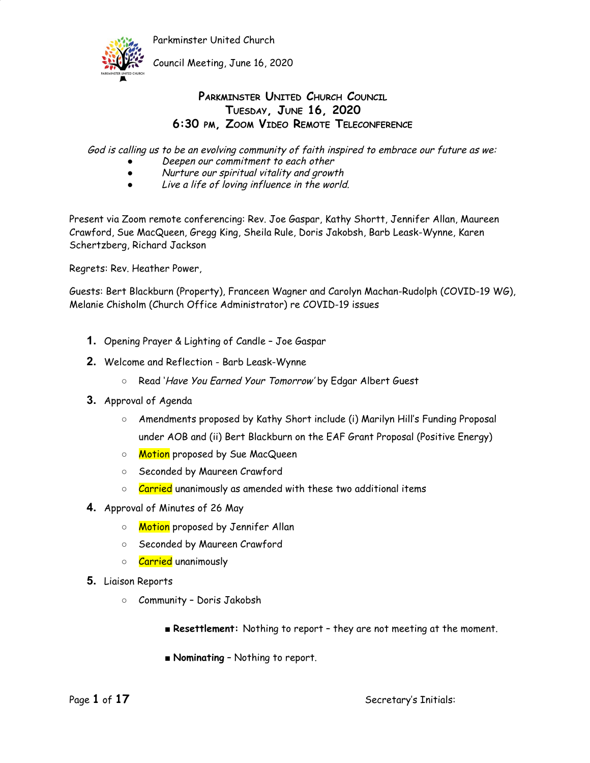

Council Meeting, June 16, 2020

### **PARKMINSTER UNITED CHURCH COUNCIL TUESDAY, JUNE 16, 2020 6:30 PM, ZOOM VIDEO REMOTE TELECONFERENCE**

God is calling us to be an evolving community of faith inspired to embrace our future as we:

- Deepen our commitment to each other
- Nurture our spiritual vitality and growth
- Live <sup>a</sup> life of loving influence in the world.

Present via Zoom remote conferencing: Rev. Joe Gaspar, Kathy Shortt, Jennifer Allan, Maureen Crawford, Sue MacQueen, Gregg King, Sheila Rule, Doris Jakobsh, Barb Leask-Wynne, Karen Schertzberg, Richard Jackson

Regrets: Rev. Heather Power,

Guests: Bert Blackburn (Property), Franceen Wagner and Carolyn Machan-Rudolph (COVID-19 WG), Melanie Chisholm (Church Office Administrator) re COVID-19 issues

- **1.** Opening Prayer & Lighting of Candle Joe Gaspar
- **2.** Welcome and Reflection Barb Leask-Wynne
	- Read 'Have You Earned Your Tomorrow' by Edgar Albert Guest
- **3.** Approval of Agenda
	- Amendments proposed by Kathy Short include (i) Marilyn Hill's Funding Proposal under AOB and (ii) Bert Blackburn on the EAF Grant Proposal (Positive Energy)
	- Motion proposed by Sue MacQueen
	- Seconded by Maureen Crawford
	- $\circ$  Carried unanimously as amended with these two additional items
- **4.** Approval of Minutes of 26 May
	- Motion proposed by Jennifer Allan
	- Seconded by Maureen Crawford
	- Carried unanimously
- **5.** Liaison Reports
	- Community Doris Jakobsh
		- **Resettlement:** Nothing to report they are not meeting at the moment.
		- **Nominating** Nothing to report.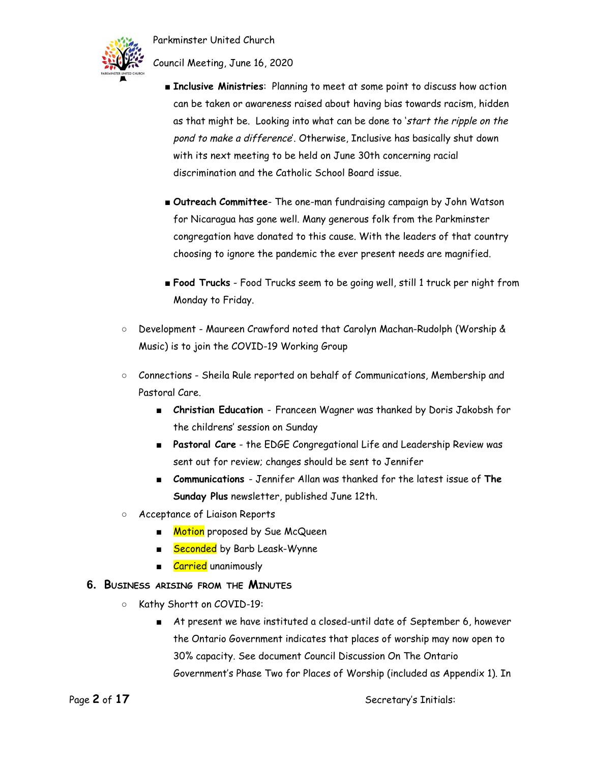

Council Meeting, June 16, 2020

- **Inclusive Ministries**: Planning to meet at some point to discuss how action can be taken or awareness raised about having bias towards racism, hidden as that might be. Looking into what can be done to 'start the ripple on the pond to make <sup>a</sup> difference'. Otherwise, Inclusive has basically shut down with its next meeting to be held on June 30th concerning racial discrimination and the Catholic School Board issue.
- **Outreach Committee** The one-man fundraising campaign by John Watson for Nicaragua has gone well. Many generous folk from the Parkminster congregation have donated to this cause. With the leaders of that country choosing to ignore the pandemic the ever present needs are magnified.
- **Food Trucks** Food Trucks seem to be going well, still 1 truck per night from Monday to Friday.
- Development Maureen Crawford noted that Carolyn Machan-Rudolph (Worship & Music) is to join the COVID-19 Working Group
- Connections Sheila Rule reported on behalf of Communications, Membership and Pastoral Care.
	- **Christian Education** Franceen Wagner was thanked by Doris Jakobsh for the childrens' session on Sunday
	- **Pastoral Care** the EDGE Congregational Life and Leadership Review was sent out for review; changes should be sent to Jennifer
	- **Communications** Jennifer Allan was thanked for the latest issue of **The Sunday Plus** newsletter, published June 12th.
- Acceptance of Liaison Reports
	- Motion proposed by Sue McQueen
	- **Seconded** by Barb Leask-Wynne
	- Carried unanimously

### **6. BUSINESS ARISING FROM THE MINUTES**

- Kathy Shortt on COVID-19:
	- At present we have instituted a closed-until date of September 6, however the Ontario Government indicates that places of worship may now open to 30% capacity. See document Council Discussion On The Ontario Government's Phase Two for Places of Worship (included as Appendix 1). In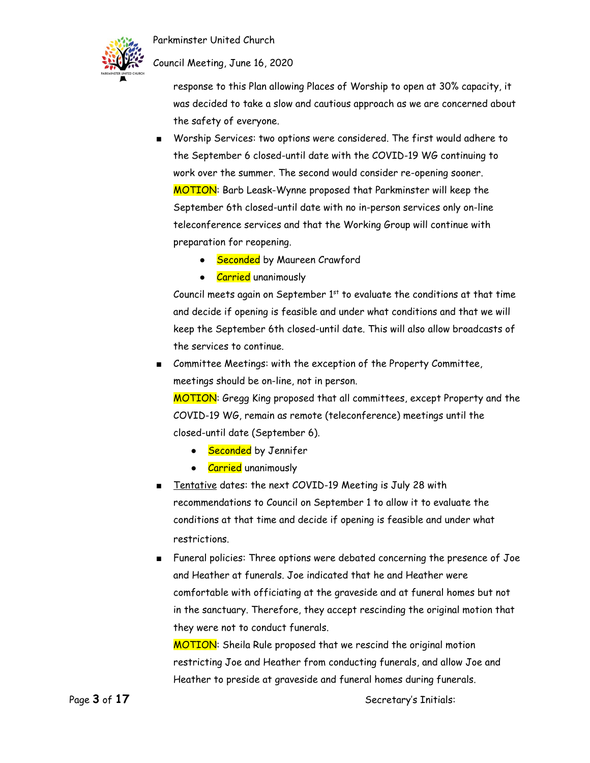

### Council Meeting, June 16, 2020

response to this Plan allowing Places of Worship to open at 30% capacity, it was decided to take a slow and cautious approach as we are concerned about the safety of everyone.

- Worship Services: two options were considered. The first would adhere to the September 6 closed-until date with the COVID-19 WG continuing to work over the summer. The second would consider re-opening sooner. MOTION: Barb Leask-Wynne proposed that Parkminster will keep the September 6th closed-until date with no in-person services only on-line teleconference services and that the Working Group will continue with preparation for reopening.
	- Seconded by Maureen Crawford
	- Carried unanimously

Council meets again on September  $1<sup>st</sup>$  to evaluate the conditions at that time and decide if opening is feasible and under what conditions and that we will keep the September 6th closed-until date. This will also allow broadcasts of the services to continue.

■ Committee Meetings: with the exception of the Property Committee, meetings should be on-line, not in person.

MOTION: Gregg King proposed that all committees, except Property and the COVID-19 WG, remain as remote (teleconference) meetings until the closed-until date (September 6).

- Seconded by Jennifer
- Carried unanimously
- Tentative dates: the next COVID-19 Meeting is July 28 with recommendations to Council on September 1 to allow it to evaluate the conditions at that time and decide if opening is feasible and under what restrictions.
- Funeral policies: Three options were debated concerning the presence of Joe and Heather at funerals. Joe indicated that he and Heather were comfortable with officiating at the graveside and at funeral homes but not in the sanctuary. Therefore, they accept rescinding the original motion that they were not to conduct funerals.

MOTION: Sheila Rule proposed that we rescind the original motion restricting Joe and Heather from conducting funerals, and allow Joe and Heather to preside at graveside and funeral homes during funerals.

Page 3 of 17 Secretary's Initials: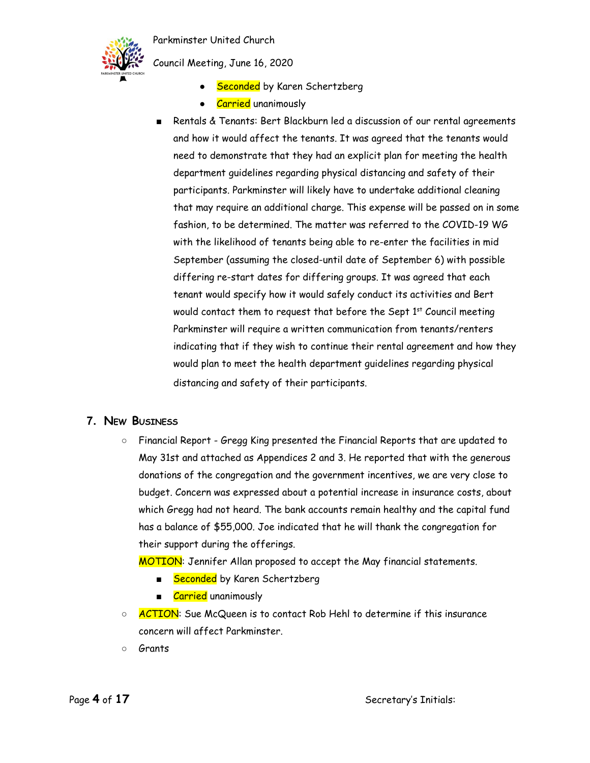

Council Meeting, June 16, 2020

- Seconded by Karen Schertzberg
- Carried unanimously
- Rentals & Tenants: Bert Blackburn led a discussion of our rental agreements and how it would affect the tenants. It was agreed that the tenants would need to demonstrate that they had an explicit plan for meeting the health department guidelines regarding physical distancing and safety of their participants. Parkminster will likely have to undertake additional cleaning that may require an additional charge. This expense will be passed on in some fashion, to be determined. The matter was referred to the COVID-19 WG with the likelihood of tenants being able to re-enter the facilities in mid September (assuming the closed-until date of September 6) with possible differing re-start dates for differing groups. It was agreed that each tenant would specify how it would safely conduct its activities and Bert would contact them to request that before the Sept  $1^{st}$  Council meeting Parkminster will require a written communication from tenants/renters indicating that if they wish to continue their rental agreement and how they would plan to meet the health department guidelines regarding physical distancing and safety of their participants.

### **7. NEW BUSINESS**

○ Financial Report - Gregg King presented the Financial Reports that are updated to May 31st and attached as Appendices 2 and 3. He reported that with the generous donations of the congregation and the government incentives, we are very close to budget. Concern was expressed about a potential increase in insurance costs, about which Gregg had not heard. The bank accounts remain healthy and the capital fund has a balance of \$55,000. Joe indicated that he will thank the congregation for their support during the offerings.

MOTION: Jennifer Allan proposed to accept the May financial statements.

- Seconded by Karen Schertzberg
- Carried unanimously
- <mark>ACTION</mark>: Sue McQueen is to contact Rob Hehl to determine if this insurance concern will affect Parkminster.
- Grants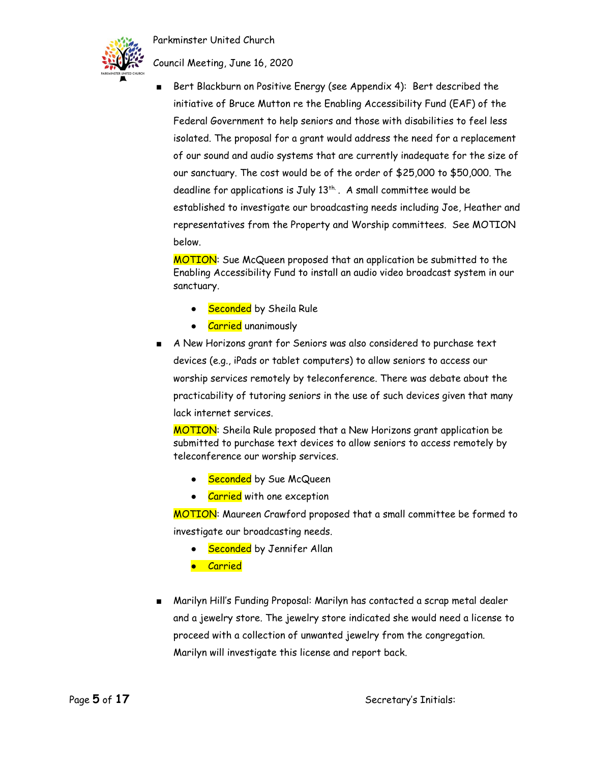

Council Meeting, June 16, 2020

Bert Blackburn on Positive Energy (see Appendix 4): Bert described the initiative of Bruce Mutton re the Enabling Accessibility Fund (EAF) of the Federal Government to help seniors and those with disabilities to feel less isolated. The proposal for a grant would address the need for a replacement of our sound and audio systems that are currently inadequate for the size of our sanctuary. The cost would be of the order of \$25,000 to \$50,000. The deadline for applications is July  $13^{\text{th}}$  . A small committee would be established to investigate our broadcasting needs including Joe, Heather and representatives from the Property and Worship committees. See MOTION below.

MOTION: Sue McQueen proposed that an application be submitted to the Enabling Accessibility Fund to install an audio video broadcast system in our sanctuary.

- Seconded by Sheila Rule
- Carried unanimously
- A New Horizons grant for Seniors was also considered to purchase text devices (e.g., iPads or tablet computers) to allow seniors to access our worship services remotely by teleconference. There was debate about the practicability of tutoring seniors in the use of such devices given that many lack internet services.

MOTION: Sheila Rule proposed that a New Horizons grant application be submitted to purchase text devices to allow seniors to access remotely by teleconference our worship services.

- Seconded by Sue McQueen
- Carried with one exception

MOTION: Maureen Crawford proposed that a small committee be formed to investigate our broadcasting needs.

- Seconded by Jennifer Allan
- Carried
- Marilyn Hill's Funding Proposal: Marilyn has contacted a scrap metal dealer and a jewelry store. The jewelry store indicated she would need a license to proceed with a collection of unwanted jewelry from the congregation. Marilyn will investigate this license and report back.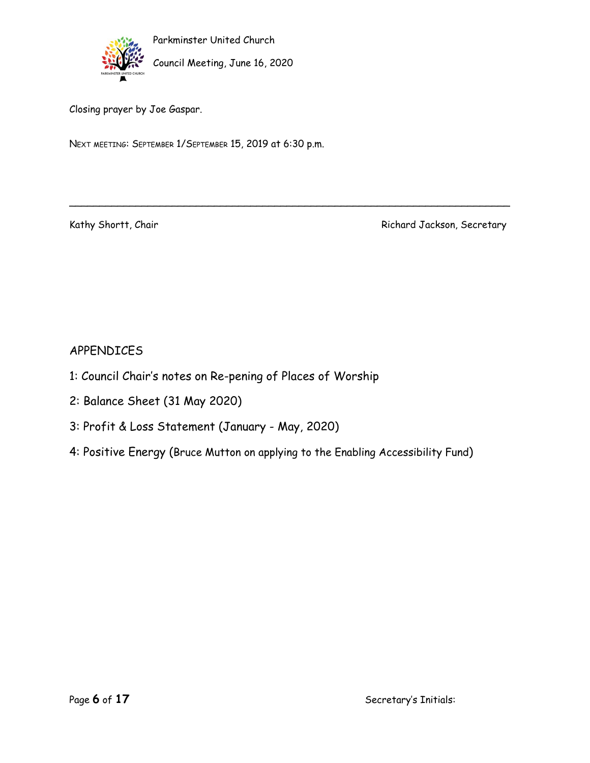

Parkminster United Church Council Meeting, June 16, 2020

Closing prayer by Joe Gaspar.

NEXT MEETING: SEPTEMBER 1/SEPTEMBER 15, 2019 at 6:30 p.m.

Kathy Shortt, Chair Richard Jackson, Secretary

### APPENDICES

- 1: Council Chair's notes on Re-pening of Places of Worship
- 2: Balance Sheet (31 May 2020)
- 3: Profit & Loss Statement (January May, 2020)
- 4: Positive Energy (Bruce Mutton on applying to the Enabling Accessibility Fund)

\_\_\_\_\_\_\_\_\_\_\_\_\_\_\_\_\_\_\_\_\_\_\_\_\_\_\_\_\_\_\_\_\_\_\_\_\_\_\_\_\_\_\_\_\_\_\_\_\_\_\_\_\_\_\_\_\_\_\_\_\_\_\_\_\_\_\_\_\_\_\_\_\_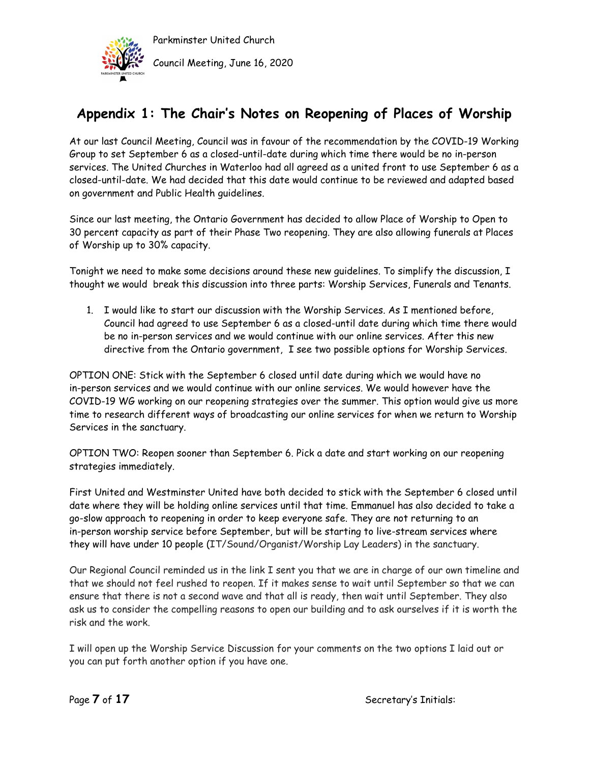

## **Appendix 1: The Chair's Notes on Reopening of Places of Worship**

At our last Council Meeting, Council was in favour of the recommendation by the COVID-19 Working Group to set September 6 as a closed-until-date during which time there would be no in-person services. The United Churches in Waterloo had all agreed as a united front to use September 6 as a closed-until-date. We had decided that this date would continue to be reviewed and adapted based on government and Public Health guidelines.

Since our last meeting, the Ontario Government has decided to allow Place of Worship to Open to 30 percent capacity as part of their Phase Two reopening. They are also allowing funerals at Places of Worship up to 30% capacity.

Tonight we need to make some decisions around these new guidelines. To simplify the discussion, I thought we would break this discussion into three parts: Worship Services, Funerals and Tenants.

1. I would like to start our discussion with the Worship Services. As I mentioned before, Council had agreed to use September 6 as a closed-until date during which time there would be no in-person services and we would continue with our online services. After this new directive from the Ontario government, I see two possible options for Worship Services.

OPTION ONE: Stick with the September 6 closed until date during which we would have no in-person services and we would continue with our online services. We would however have the COVID-19 WG working on our reopening strategies over the summer. This option would give us more time to research different ways of broadcasting our online services for when we return to Worship Services in the sanctuary.

OPTION TWO: Reopen sooner than September 6. Pick a date and start working on our reopening strategies immediately.

First United and Westminster United have both decided to stick with the September 6 closed until date where they will be holding online services until that time. Emmanuel has also decided to take a go-slow approach to reopening in order to keep everyone safe. They are not returning to an in-person worship service before September, but will be starting to live-stream services where they will have under 10 people (IT/Sound/Organist/Worship Lay Leaders) in the sanctuary.

Our Regional Council reminded us in the link I sent you that we are in charge of our own timeline and that we should not feel rushed to reopen. If it makes sense to wait until September so that we can ensure that there is not a second wave and that all is ready, then wait until September. They also ask us to consider the compelling reasons to open our building and to ask ourselves if it is worth the risk and the work.

I will open up the Worship Service Discussion for your comments on the two options I laid out or you can put forth another option if you have one.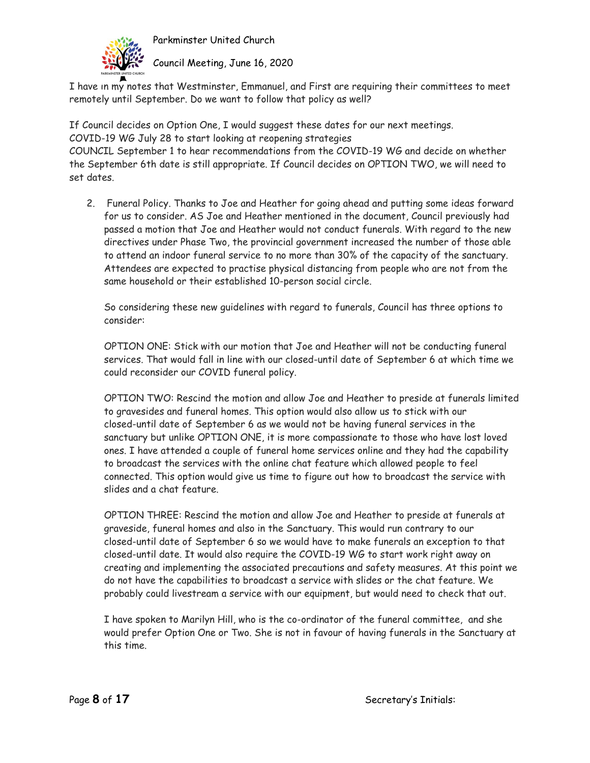

Council Meeting, June 16, 2020

I have in my notes that Westminster, Emmanuel, and First are requiring their committees to meet remotely until September. Do we want to follow that policy as well?

If Council decides on Option One, I would suggest these dates for our next meetings. COVID-19 WG July 28 to start looking at reopening strategies COUNCIL September 1 to hear recommendations from the COVID-19 WG and decide on whether the September 6th date is still appropriate. If Council decides on OPTION TWO, we will need to set dates.

2. Funeral Policy. Thanks to Joe and Heather for going ahead and putting some ideas forward for us to consider. AS Joe and Heather mentioned in the document, Council previously had passed a motion that Joe and Heather would not conduct funerals. With regard to the new directives under Phase Two, the provincial government increased the number of those able to attend an indoor funeral service to no more than 30% of the capacity of the sanctuary. Attendees are expected to practise physical distancing from people who are not from the same household or their established 10-person social circle.

So considering these new guidelines with regard to funerals, Council has three options to consider:

OPTION ONE: Stick with our motion that Joe and Heather will not be conducting funeral services. That would fall in line with our closed-until date of September 6 at which time we could reconsider our COVID funeral policy.

OPTION TWO: Rescind the motion and allow Joe and Heather to preside at funerals limited to gravesides and funeral homes. This option would also allow us to stick with our closed-until date of September 6 as we would not be having funeral services in the sanctuary but unlike OPTION ONE, it is more compassionate to those who have lost loved ones. I have attended a couple of funeral home services online and they had the capability to broadcast the services with the online chat feature which allowed people to feel connected. This option would give us time to figure out how to broadcast the service with slides and a chat feature.

OPTION THREE: Rescind the motion and allow Joe and Heather to preside at funerals at graveside, funeral homes and also in the Sanctuary. This would run contrary to our closed-until date of September 6 so we would have to make funerals an exception to that closed-until date. It would also require the COVID-19 WG to start work right away on creating and implementing the associated precautions and safety measures. At this point we do not have the capabilities to broadcast a service with slides or the chat feature. We probably could livestream a service with our equipment, but would need to check that out.

I have spoken to Marilyn Hill, who is the co-ordinator of the funeral committee, and she would prefer Option One or Two. She is not in favour of having funerals in the Sanctuary at this time.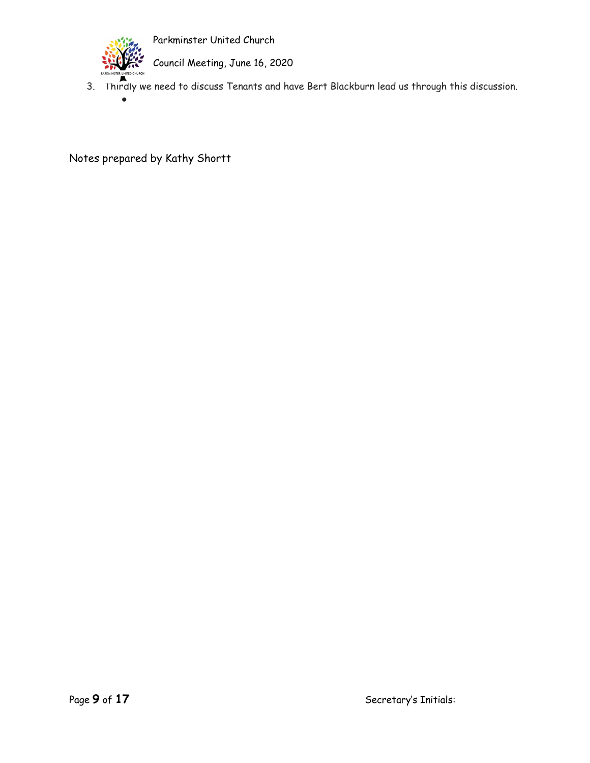

●

Parkminster United Church

Council Meeting, June 16, 2020

3. Thirdly we need to discuss Tenants and have Bert Blackburn lead us through this discussion.

Notes prepared by Kathy Shortt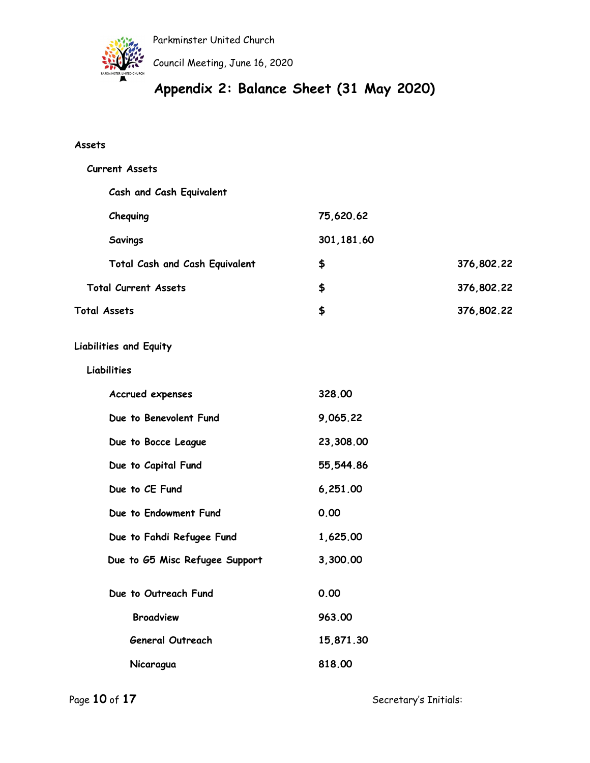

Council Meeting, June 16, 2020

# **Appendix 2: Balance Sheet (31 May 2020)**

### **Assets**

| <b>Current Assets</b>          |             |            |
|--------------------------------|-------------|------------|
| Cash and Cash Equivalent       |             |            |
| Chequing                       | 75,620.62   |            |
| Savings                        | 301, 181.60 |            |
| Total Cash and Cash Equivalent | \$          | 376,802.22 |
| <b>Total Current Assets</b>    | \$          | 376,802.22 |
| Total Assets                   | \$          | 376,802.22 |
| <b>Liabilities and Equity</b>  |             |            |
| Liabilities                    |             |            |
| Accrued expenses               | 328.00      |            |
| Due to Benevolent Fund         | 9,065.22    |            |
| Due to Bocce League            | 23,308.00   |            |
| Due to Capital Fund            | 55,544.86   |            |
| Due to CE Fund                 | 6,251.00    |            |
| Due to Endowment Fund          | 0.00        |            |
| Due to Fahdi Refugee Fund      | 1,625.00    |            |
| Due to G5 Misc Refugee Support | 3,300.00    |            |
| Due to Outreach Fund           | 0.00        |            |
| <b>Broadview</b>               | 963.00      |            |
| <b>General Outreach</b>        | 15,871.30   |            |
| Nicaragua                      | 818.00      |            |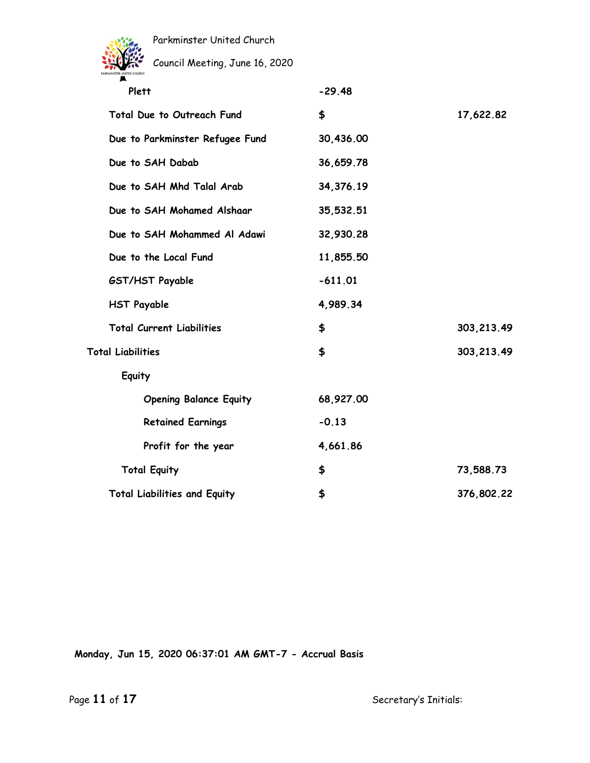

Council Meeting, June 16, 2020

| Plett                               | $-29.48$  |             |
|-------------------------------------|-----------|-------------|
| Total Due to Outreach Fund          | \$        | 17,622.82   |
| Due to Parkminster Refugee Fund     | 30,436.00 |             |
| Due to SAH Dabab                    | 36,659.78 |             |
| Due to SAH Mhd Talal Arab           | 34,376.19 |             |
| Due to SAH Mohamed Alshaar          | 35,532.51 |             |
| Due to SAH Mohammed Al Adawi        | 32,930.28 |             |
| Due to the Local Fund               | 11,855.50 |             |
| GST/HST Payable                     | $-611.01$ |             |
| <b>HST Payable</b>                  | 4,989.34  |             |
| <b>Total Current Liabilities</b>    | \$        | 303, 213.49 |
| <b>Total Liabilities</b>            | \$        | 303, 213.49 |
| Equity                              |           |             |
| <b>Opening Balance Equity</b>       | 68,927.00 |             |
| <b>Retained Earnings</b>            | $-0.13$   |             |
| Profit for the year                 | 4,661.86  |             |
| <b>Total Equity</b>                 | \$        | 73,588.73   |
| <b>Total Liabilities and Equity</b> | \$        | 376,802.22  |

**Monday, Jun 15, 2020 06:37:01 AM GMT-7 - Accrual Basis**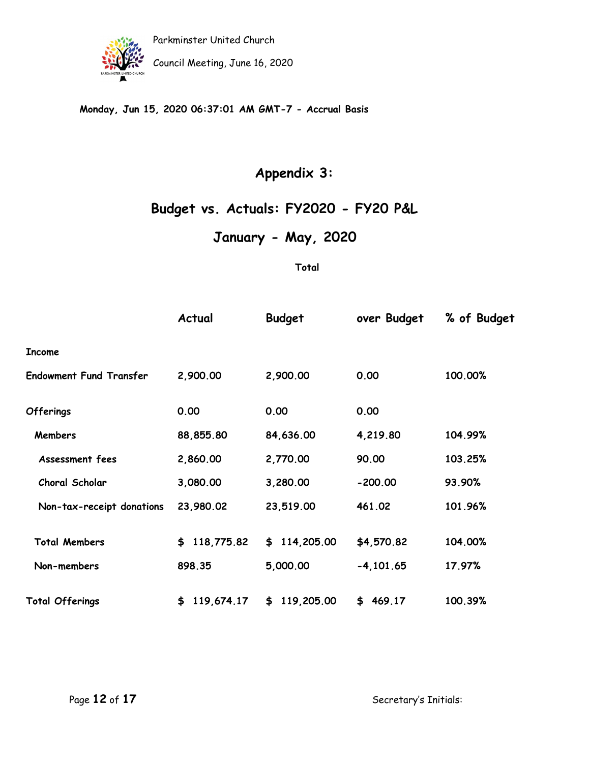

Parkminster United Church Council Meeting, June 16, 2020

### **Monday, Jun 15, 2020 06:37:01 AM GMT-7 - Accrual Basis**

## **Appendix 3:**

# **Budget vs. Actuals: FY2020 - FY20 P&L**

**January - May, 2020**

**Total**

|                                | Actual           | <b>Budget</b> | over Budget | % of Budget |
|--------------------------------|------------------|---------------|-------------|-------------|
| <b>Income</b>                  |                  |               |             |             |
| <b>Endowment Fund Transfer</b> | 2,900.00         | 2,900.00      | 0.00        | 100.00%     |
| <b>Offerings</b>               | 0.00             | 0.00          | 0.00        |             |
| <b>Members</b>                 | 88,855.80        | 84,636.00     | 4,219.80    | 104.99%     |
| Assessment fees                | 2,860.00         | 2,770.00      | 90.00       | 103.25%     |
| Choral Scholar                 | 3,080.00         | 3,280.00      | $-200.00$   | 93.90%      |
| Non-tax-receipt donations      | 23,980.02        | 23,519.00     | 461.02      | 101.96%     |
| <b>Total Members</b>           | \$118,775.82     | \$114,205.00  | \$4,570.82  | 104.00%     |
| Non-members                    | 898.35           | 5,000.00      | $-4,101.65$ | 17.97%      |
| <b>Total Offerings</b>         | 119,674.17<br>\$ | \$119,205.00  | \$469.17    | 100.39%     |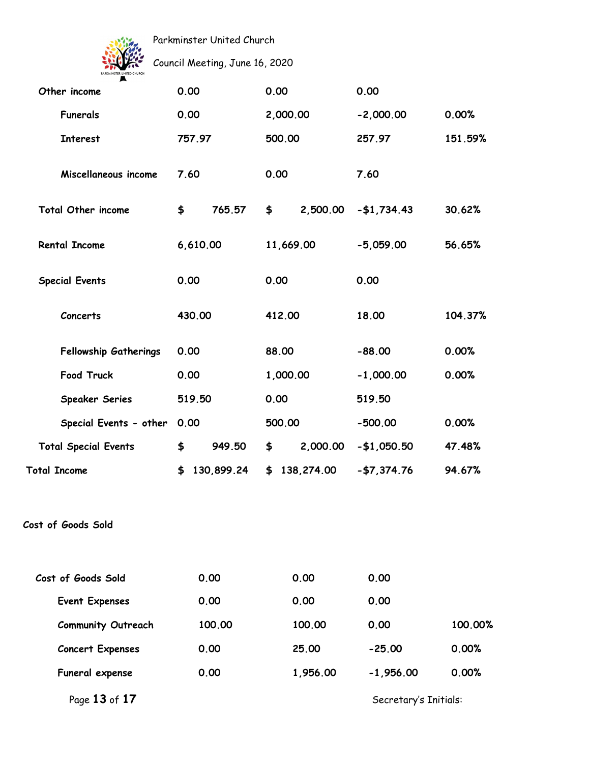

Council Meeting, June 16, 2020

| Other income                 | 0.00             | 0.00             | 0.00                  |         |
|------------------------------|------------------|------------------|-----------------------|---------|
| <b>Funerals</b>              | 0.00             | 2,000.00         | $-2,000.00$           | 0.00%   |
| <b>Interest</b>              | 757.97           | 500.00           | 257.97                | 151.59% |
| Miscellaneous income         | 7.60             | 0.00             | 7.60                  |         |
| <b>Total Other income</b>    | \$<br>765.57     | \$<br>2,500.00   | $-$1,734.43$          | 30.62%  |
| <b>Rental Income</b>         | 6,610.00         | 11,669.00        | $-5,059.00$           | 56.65%  |
| <b>Special Events</b>        | 0.00             | 0.00             | 0.00                  |         |
| Concerts                     | 430.00           | 412.00           | 18.00                 | 104.37% |
| <b>Fellowship Gatherings</b> | 0.00             | 88.00            | $-88.00$              | 0.00%   |
| Food Truck                   | 0.00             | 1,000.00         | $-1,000.00$           | 0.00%   |
| <b>Speaker Series</b>        | 519.50           | 0.00             | 519.50                |         |
| Special Events - other       | 0.00             | 500.00           | $-500.00$             | 0.00%   |
| <b>Total Special Events</b>  | 949.50<br>\$     | 2,000.00<br>\$   | $-$1,050.50$          | 47.48%  |
| <b>Total Income</b>          | 130,899.24<br>\$ | 138,274.00<br>\$ | $- $7,374.76$         | 94.67%  |
| Cost of Goods Sold           |                  |                  |                       |         |
| Cost of Goods Sold           | 0.00             | 0.00             | 0.00                  |         |
| <b>Event Expenses</b>        | 0.00             | 0.00             | 0.00                  |         |
| <b>Community Outreach</b>    | 100.00           | 100.00           | 0.00                  | 100.00% |
| <b>Concert Expenses</b>      | 0.00             | 25.00            | $-25.00$              | 0.00%   |
| Funeral expense              | 0.00             | 1,956.00         | $-1,956.00$           | 0.00%   |
| Page 13 of 17                |                  |                  | Secretary's Initials: |         |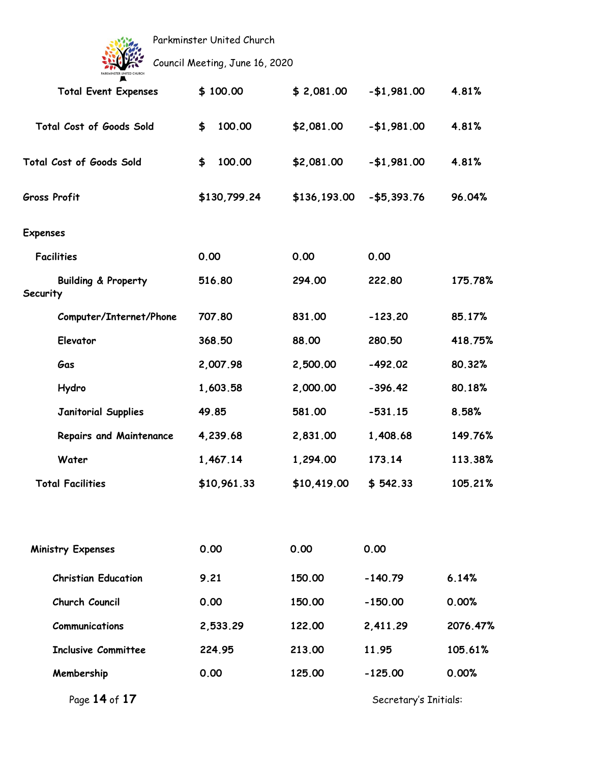

Council Meeting, June 16, 2020

| <b>Total Event Expenses</b>                | \$100.00     | \$2,081.00   | $- $1,981.00$ | 4.81%    |
|--------------------------------------------|--------------|--------------|---------------|----------|
| Total Cost of Goods Sold                   | 100.00<br>\$ | \$2,081.00   | $- $1,981.00$ | 4.81%    |
| <b>Total Cost of Goods Sold</b>            | \$<br>100.00 | \$2,081.00   | $- $1,981.00$ | 4.81%    |
| <b>Gross Profit</b>                        | \$130,799.24 | \$136,193.00 | $- $5,393.76$ | 96.04%   |
| Expenses                                   |              |              |               |          |
| <b>Facilities</b>                          | 0.00         | 0.00         | 0.00          |          |
| <b>Building &amp; Property</b><br>Security | 516.80       | 294.00       | 222.80        | 175.78%  |
| Computer/Internet/Phone                    | 707.80       | 831.00       | $-123.20$     | 85.17%   |
| Elevator                                   | 368.50       | 88.00        | 280.50        | 418.75%  |
| Gas                                        | 2,007.98     | 2,500.00     | $-492.02$     | 80.32%   |
| Hydro                                      | 1,603.58     | 2,000.00     | $-396.42$     | 80.18%   |
| <b>Janitorial Supplies</b>                 | 49.85        | 581.00       | $-531.15$     | 8.58%    |
| <b>Repairs and Maintenance</b>             | 4,239.68     | 2,831.00     | 1,408.68      | 149.76%  |
| Water                                      | 1,467.14     | 1,294.00     | 173.14        | 113.38%  |
| <b>Total Facilities</b>                    | \$10,961.33  | \$10,419.00  | \$542.33      | 105.21%  |
| <b>Ministry Expenses</b>                   | 0.00         | 0.00         | 0.00          |          |
|                                            |              |              |               |          |
| <b>Christian Education</b>                 | 9.21         | 150.00       | $-140.79$     | 6.14%    |
| Church Council                             | 0.00         | 150.00       | $-150.00$     | 0.00%    |
| <b>Communications</b>                      | 2,533.29     | 122.00       | 2,411.29      | 2076.47% |
| <b>Inclusive Committee</b>                 | 224.95       | 213.00       | 11.95         | 105.61%  |
| Membership                                 | 0.00         | 125.00       | $-125.00$     | 0.00%    |
|                                            |              |              |               |          |

Page 14 of 17 **Secretary's Initials:**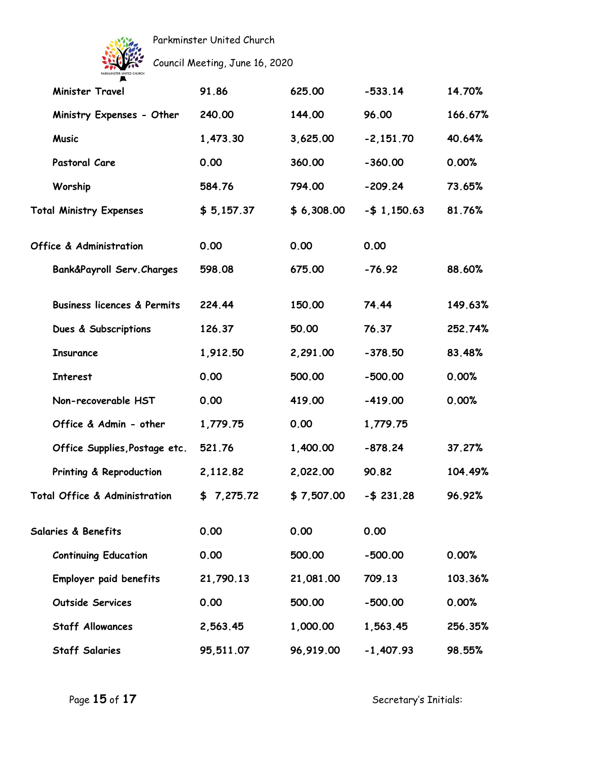

Council Meeting, June 16, 2020

| <b>Minister Travel</b>                   | 91.86      | 625.00     | $-533.14$      | 14.70%  |
|------------------------------------------|------------|------------|----------------|---------|
| Ministry Expenses - Other                | 240.00     | 144.00     | 96.00          | 166.67% |
| <b>Music</b>                             | 1,473.30   | 3,625.00   | $-2,151.70$    | 40.64%  |
| Pastoral Care                            | 0.00       | 360.00     | $-360.00$      | 0.00%   |
| Worship                                  | 584.76     | 794.00     | $-209.24$      | 73.65%  |
| <b>Total Ministry Expenses</b>           | \$5,157.37 | \$6,308.00 | $-$ \$1,150.63 | 81.76%  |
| <b>Office &amp; Administration</b>       | 0.00       | 0.00       | 0.00           |         |
| Bank&Payroll Serv. Charges               | 598.08     | 675.00     | $-76.92$       | 88.60%  |
| <b>Business licences &amp; Permits</b>   | 224.44     | 150.00     | 74.44          | 149.63% |
| Dues & Subscriptions                     | 126.37     | 50.00      | 76.37          | 252.74% |
| <b>Insurance</b>                         | 1,912.50   | 2,291.00   | $-378.50$      | 83.48%  |
| <b>Interest</b>                          | 0.00       | 500.00     | $-500.00$      | 0.00%   |
| Non-recoverable HST                      | 0.00       | 419.00     | $-419.00$      | 0.00%   |
| Office & Admin - other                   | 1,779.75   | 0.00       | 1,779.75       |         |
| Office Supplies, Postage etc.            | 521.76     | 1,400.00   | $-878.24$      | 37.27%  |
| Printing & Reproduction                  | 2,112.82   | 2,022.00   | 90.82          | 104.49% |
| <b>Total Office &amp; Administration</b> | \$7,275.72 | \$7,507.00 | $- $ 231.28$   | 96.92%  |
| Salaries & Benefits                      | 0.00       | 0.00       | 0.00           |         |
| <b>Continuing Education</b>              | 0.00       | 500.00     | $-500.00$      | 0.00%   |
| Employer paid benefits                   | 21,790.13  | 21,081.00  | 709.13         | 103.36% |
| Outside Services                         | 0.00       | 500.00     | $-500.00$      | 0.00%   |
| <b>Staff Allowances</b>                  | 2,563.45   | 1,000.00   | 1,563.45       | 256.35% |
| <b>Staff Salaries</b>                    | 95,511.07  | 96,919.00  | $-1,407.93$    | 98.55%  |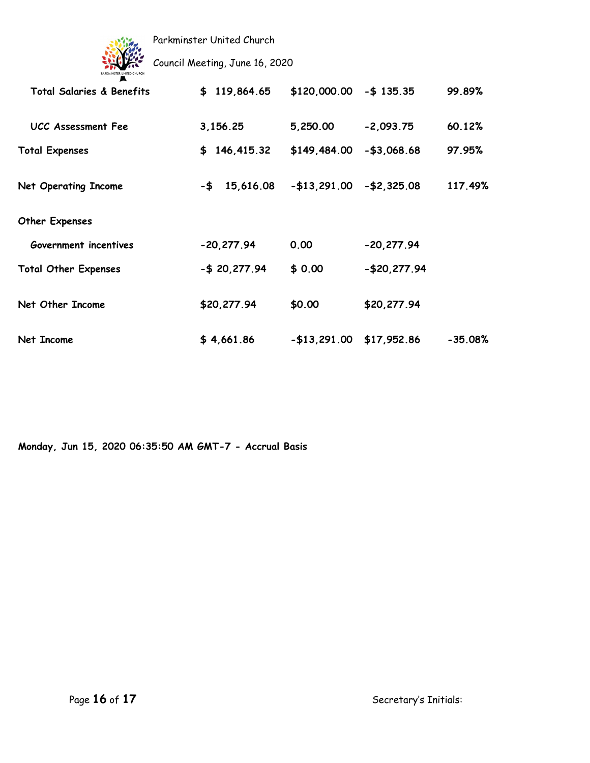

Council Meeting, June 16, 2020

| Total Salaries & Benefits   | \$119,864.65     | $$120,000.00 - $135.35$ |               | 99.89%    |
|-----------------------------|------------------|-------------------------|---------------|-----------|
| UCC Assessment Fee          | 3,156.25         | 5,250.00                | $-2,093.75$   | 60.12%    |
| <b>Total Expenses</b>       | \$146,415.32     | \$149,484.00            | $- $3,068.68$ | 97.95%    |
| <b>Net Operating Income</b> | $-$ \$ 15,616.08 | $- $13,291.00$          | $- $2,325.08$ | 117.49%   |
| Other Expenses              |                  |                         |               |           |
| Government incentives       | $-20,277.94$     | 0.00                    | $-20,277.94$  |           |
| <b>Total Other Expenses</b> | $-$ \$ 20,277.94 | \$0.00                  | $-$20,277.94$ |           |
| Net Other Income            | \$20,277.94      | \$0.00                  | \$20,277.94   |           |
| Net Income                  | \$4,661.86       | $- $13,291.00$          | \$17,952.86   | $-35.08%$ |

**Monday, Jun 15, 2020 06:35:50 AM GMT-7 - Accrual Basis**